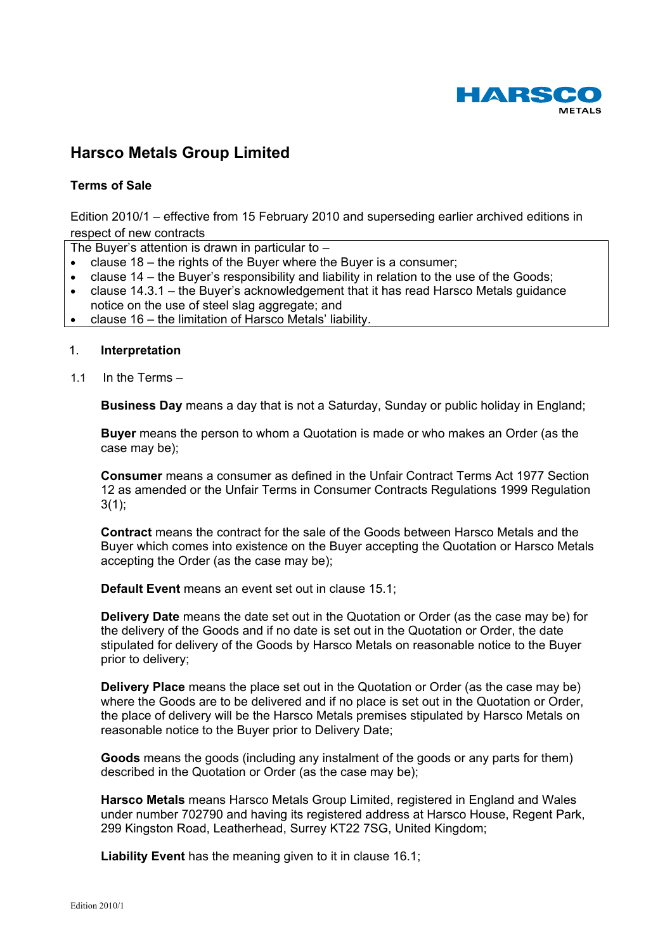

# **Harsco Metals Group Limited**

# **Terms of Sale**

Edition 2010/1 – effective from 15 February 2010 and superseding earlier archived editions in respect of new contracts

The Buyer's attention is drawn in particular to  $-$ 

- clause 18 the rights of the Buyer where the Buyer is a consumer;
- clause 14 the Buyer's responsibility and liability in relation to the use of the Goods;
- clause 14.3.1 the Buyer's acknowledgement that it has read Harsco Metals guidance notice on the use of steel slag aggregate; and
- clause 16 the limitation of Harsco Metals' liability.

# 1. **Interpretation**

1.1 In the Terms –

**Business Day** means a day that is not a Saturday, Sunday or public holiday in England;

**Buyer** means the person to whom a Quotation is made or who makes an Order (as the case may be);

**Consumer** means a consumer as defined in the Unfair Contract Terms Act 1977 Section 12 as amended or the Unfair Terms in Consumer Contracts Regulations 1999 Regulation  $3(1)$ ;

**Contract** means the contract for the sale of the Goods between Harsco Metals and the Buyer which comes into existence on the Buyer accepting the Quotation or Harsco Metals accepting the Order (as the case may be);

**Default Event** means an event set out in clause 15.1;

**Delivery Date** means the date set out in the Quotation or Order (as the case may be) for the delivery of the Goods and if no date is set out in the Quotation or Order, the date stipulated for delivery of the Goods by Harsco Metals on reasonable notice to the Buyer prior to delivery;

**Delivery Place** means the place set out in the Quotation or Order (as the case may be) where the Goods are to be delivered and if no place is set out in the Quotation or Order, the place of delivery will be the Harsco Metals premises stipulated by Harsco Metals on reasonable notice to the Buyer prior to Delivery Date;

**Goods** means the goods (including any instalment of the goods or any parts for them) described in the Quotation or Order (as the case may be);

**Harsco Metals** means Harsco Metals Group Limited, registered in England and Wales under number 702790 and having its registered address at Harsco House, Regent Park, 299 Kingston Road, Leatherhead, Surrey KT22 7SG, United Kingdom;

**Liability Event** has the meaning given to it in clause 16.1;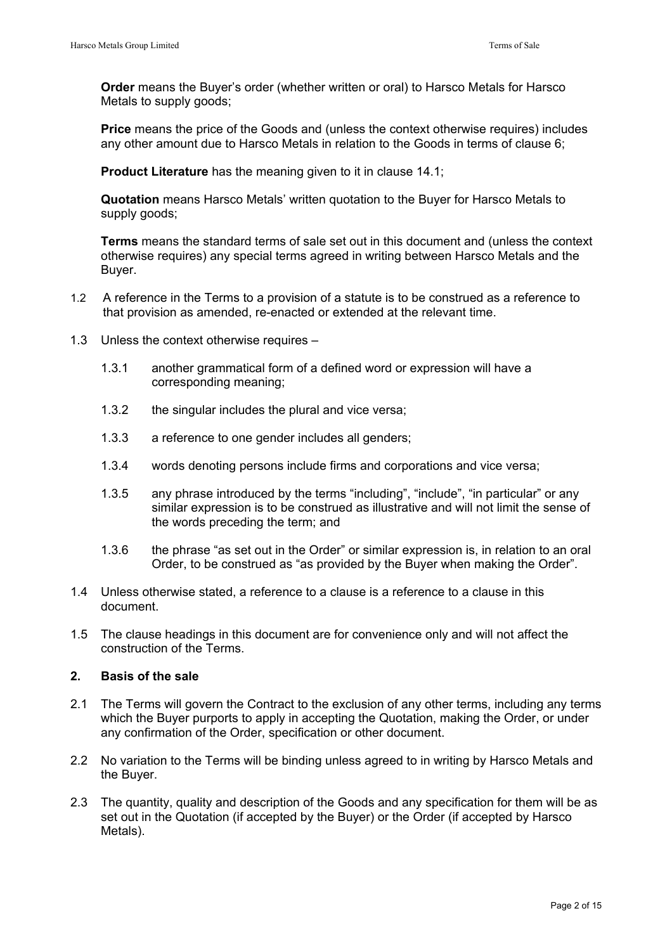**Order** means the Buyer's order (whether written or oral) to Harsco Metals for Harsco Metals to supply goods;

**Price** means the price of the Goods and (unless the context otherwise requires) includes any other amount due to Harsco Metals in relation to the Goods in terms of clause 6;

**Product Literature** has the meaning given to it in clause 14.1;

**Quotation** means Harsco Metals' written quotation to the Buyer for Harsco Metals to supply goods;

**Terms** means the standard terms of sale set out in this document and (unless the context otherwise requires) any special terms agreed in writing between Harsco Metals and the Buyer.

- 1.2 A reference in the Terms to a provision of a statute is to be construed as a reference to that provision as amended, re-enacted or extended at the relevant time.
- 1.3 Unless the context otherwise requires
	- 1.3.1 another grammatical form of a defined word or expression will have a corresponding meaning;
	- 1.3.2 the singular includes the plural and vice versa;
	- 1.3.3 a reference to one gender includes all genders;
	- 1.3.4 words denoting persons include firms and corporations and vice versa;
	- 1.3.5 any phrase introduced by the terms "including", "include", "in particular" or any similar expression is to be construed as illustrative and will not limit the sense of the words preceding the term; and
	- 1.3.6 the phrase "as set out in the Order" or similar expression is, in relation to an oral Order, to be construed as "as provided by the Buyer when making the Order".
- 1.4 Unless otherwise stated, a reference to a clause is a reference to a clause in this document.
- 1.5 The clause headings in this document are for convenience only and will not affect the construction of the Terms.

# **2. Basis of the sale**

- 2.1 The Terms will govern the Contract to the exclusion of any other terms, including any terms which the Buyer purports to apply in accepting the Quotation, making the Order, or under any confirmation of the Order, specification or other document.
- 2.2 No variation to the Terms will be binding unless agreed to in writing by Harsco Metals and the Buyer.
- 2.3 The quantity, quality and description of the Goods and any specification for them will be as set out in the Quotation (if accepted by the Buyer) or the Order (if accepted by Harsco Metals).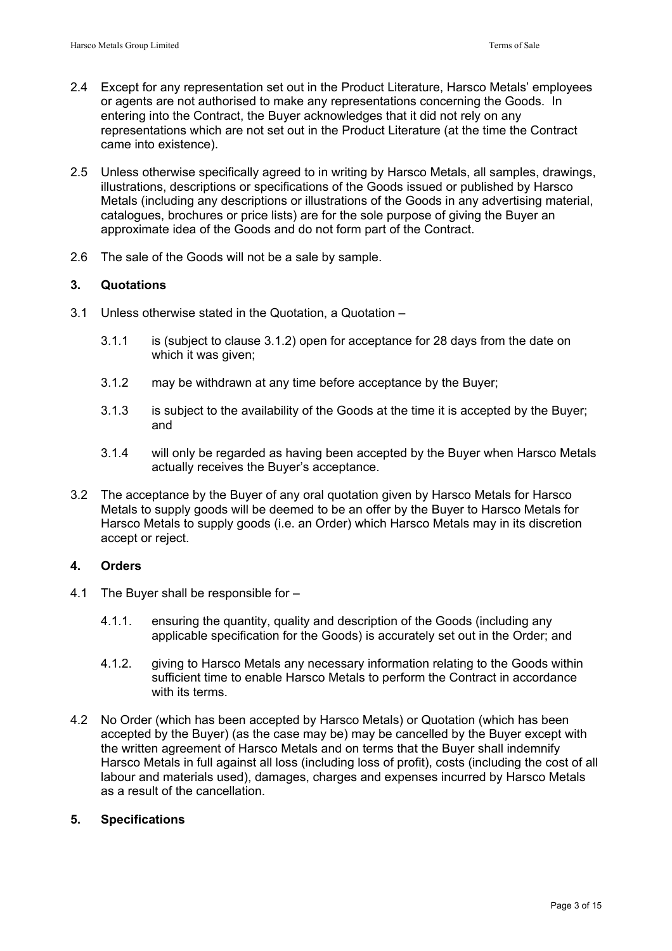- 2.4 Except for any representation set out in the Product Literature, Harsco Metals' employees or agents are not authorised to make any representations concerning the Goods. In entering into the Contract, the Buyer acknowledges that it did not rely on any representations which are not set out in the Product Literature (at the time the Contract came into existence).
- 2.5 Unless otherwise specifically agreed to in writing by Harsco Metals, all samples, drawings, illustrations, descriptions or specifications of the Goods issued or published by Harsco Metals (including any descriptions or illustrations of the Goods in any advertising material, catalogues, brochures or price lists) are for the sole purpose of giving the Buyer an approximate idea of the Goods and do not form part of the Contract.
- 2.6 The sale of the Goods will not be a sale by sample.

# **3. Quotations**

- 3.1 Unless otherwise stated in the Quotation, a Quotation
	- 3.1.1 is (subject to clause 3.1.2) open for acceptance for 28 days from the date on which it was given:
	- 3.1.2 may be withdrawn at any time before acceptance by the Buyer;
	- 3.1.3 is subject to the availability of the Goods at the time it is accepted by the Buyer; and
	- 3.1.4 will only be regarded as having been accepted by the Buyer when Harsco Metals actually receives the Buyer's acceptance.
- 3.2 The acceptance by the Buyer of any oral quotation given by Harsco Metals for Harsco Metals to supply goods will be deemed to be an offer by the Buyer to Harsco Metals for Harsco Metals to supply goods (i.e. an Order) which Harsco Metals may in its discretion accept or reject.

# **4. Orders**

- 4.1 The Buyer shall be responsible for
	- 4.1.1. ensuring the quantity, quality and description of the Goods (including any applicable specification for the Goods) is accurately set out in the Order; and
	- 4.1.2. giving to Harsco Metals any necessary information relating to the Goods within sufficient time to enable Harsco Metals to perform the Contract in accordance with its terms.
- 4.2 No Order (which has been accepted by Harsco Metals) or Quotation (which has been accepted by the Buyer) (as the case may be) may be cancelled by the Buyer except with the written agreement of Harsco Metals and on terms that the Buyer shall indemnify Harsco Metals in full against all loss (including loss of profit), costs (including the cost of all labour and materials used), damages, charges and expenses incurred by Harsco Metals as a result of the cancellation.

## **5. Specifications**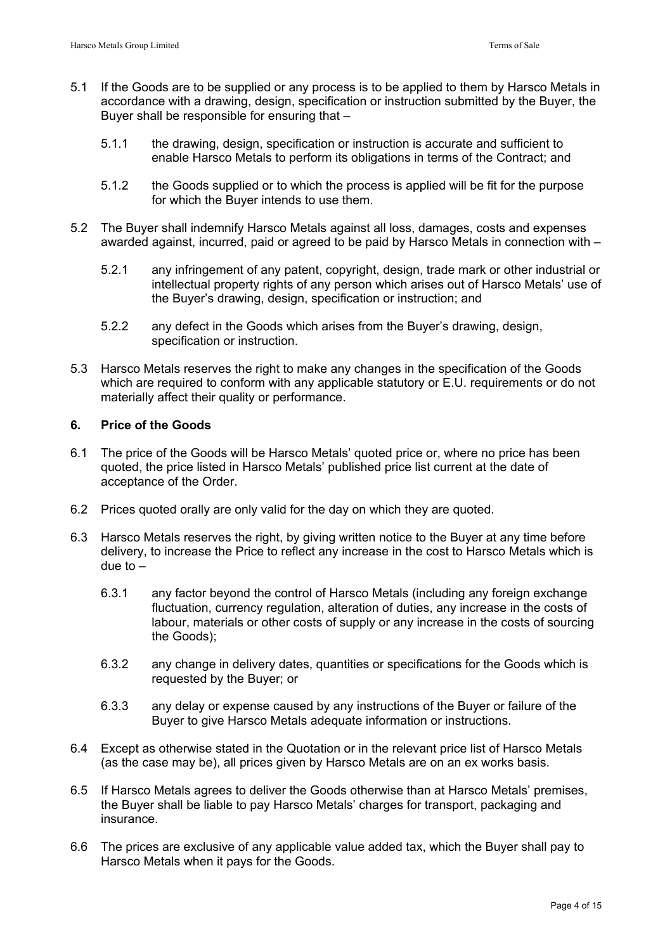- 5.1 If the Goods are to be supplied or any process is to be applied to them by Harsco Metals in accordance with a drawing, design, specification or instruction submitted by the Buyer, the Buyer shall be responsible for ensuring that –
	- 5.1.1 the drawing, design, specification or instruction is accurate and sufficient to enable Harsco Metals to perform its obligations in terms of the Contract; and
	- 5.1.2 the Goods supplied or to which the process is applied will be fit for the purpose for which the Buyer intends to use them.
- 5.2 The Buyer shall indemnify Harsco Metals against all loss, damages, costs and expenses awarded against, incurred, paid or agreed to be paid by Harsco Metals in connection with –
	- 5.2.1 any infringement of any patent, copyright, design, trade mark or other industrial or intellectual property rights of any person which arises out of Harsco Metals' use of the Buyer's drawing, design, specification or instruction; and
	- 5.2.2 any defect in the Goods which arises from the Buyer's drawing, design, specification or instruction.
- 5.3 Harsco Metals reserves the right to make any changes in the specification of the Goods which are required to conform with any applicable statutory or E.U. requirements or do not materially affect their quality or performance.

# **6. Price of the Goods**

- 6.1 The price of the Goods will be Harsco Metals' quoted price or, where no price has been quoted, the price listed in Harsco Metals' published price list current at the date of acceptance of the Order.
- 6.2 Prices quoted orally are only valid for the day on which they are quoted.
- 6.3 Harsco Metals reserves the right, by giving written notice to the Buyer at any time before delivery, to increase the Price to reflect any increase in the cost to Harsco Metals which is due to  $-$ 
	- 6.3.1 any factor beyond the control of Harsco Metals (including any foreign exchange fluctuation, currency regulation, alteration of duties, any increase in the costs of labour, materials or other costs of supply or any increase in the costs of sourcing the Goods);
	- 6.3.2 any change in delivery dates, quantities or specifications for the Goods which is requested by the Buyer; or
	- 6.3.3 any delay or expense caused by any instructions of the Buyer or failure of the Buyer to give Harsco Metals adequate information or instructions.
- 6.4 Except as otherwise stated in the Quotation or in the relevant price list of Harsco Metals (as the case may be), all prices given by Harsco Metals are on an ex works basis.
- 6.5 If Harsco Metals agrees to deliver the Goods otherwise than at Harsco Metals' premises, the Buyer shall be liable to pay Harsco Metals' charges for transport, packaging and insurance.
- 6.6 The prices are exclusive of any applicable value added tax, which the Buyer shall pay to Harsco Metals when it pays for the Goods.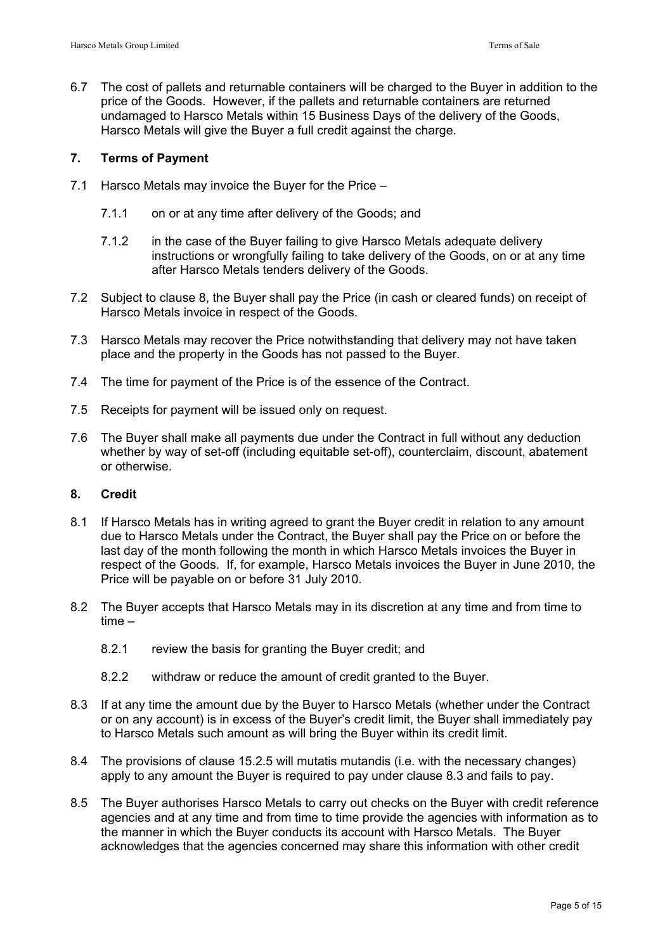6.7 The cost of pallets and returnable containers will be charged to the Buyer in addition to the price of the Goods. However, if the pallets and returnable containers are returned undamaged to Harsco Metals within 15 Business Days of the delivery of the Goods, Harsco Metals will give the Buyer a full credit against the charge.

# **7. Terms of Payment**

- 7.1 Harsco Metals may invoice the Buyer for the Price
	- 7.1.1 on or at any time after delivery of the Goods; and
	- 7.1.2 in the case of the Buyer failing to give Harsco Metals adequate delivery instructions or wrongfully failing to take delivery of the Goods, on or at any time after Harsco Metals tenders delivery of the Goods.
- 7.2 Subject to clause 8, the Buyer shall pay the Price (in cash or cleared funds) on receipt of Harsco Metals invoice in respect of the Goods.
- 7.3 Harsco Metals may recover the Price notwithstanding that delivery may not have taken place and the property in the Goods has not passed to the Buyer.
- 7.4 The time for payment of the Price is of the essence of the Contract.
- 7.5 Receipts for payment will be issued only on request.
- 7.6 The Buyer shall make all payments due under the Contract in full without any deduction whether by way of set-off (including equitable set-off), counterclaim, discount, abatement or otherwise.

## **8. Credit**

- 8.1 If Harsco Metals has in writing agreed to grant the Buyer credit in relation to any amount due to Harsco Metals under the Contract, the Buyer shall pay the Price on or before the last day of the month following the month in which Harsco Metals invoices the Buyer in respect of the Goods. If, for example, Harsco Metals invoices the Buyer in June 2010, the Price will be payable on or before 31 July 2010.
- 8.2 The Buyer accepts that Harsco Metals may in its discretion at any time and from time to time –
	- 8.2.1 review the basis for granting the Buyer credit; and
	- 8.2.2 withdraw or reduce the amount of credit granted to the Buyer.
- 8.3 If at any time the amount due by the Buyer to Harsco Metals (whether under the Contract or on any account) is in excess of the Buyer's credit limit, the Buyer shall immediately pay to Harsco Metals such amount as will bring the Buyer within its credit limit.
- 8.4 The provisions of clause 15.2.5 will mutatis mutandis (i.e. with the necessary changes) apply to any amount the Buyer is required to pay under clause 8.3 and fails to pay.
- 8.5 The Buyer authorises Harsco Metals to carry out checks on the Buyer with credit reference agencies and at any time and from time to time provide the agencies with information as to the manner in which the Buyer conducts its account with Harsco Metals. The Buyer acknowledges that the agencies concerned may share this information with other credit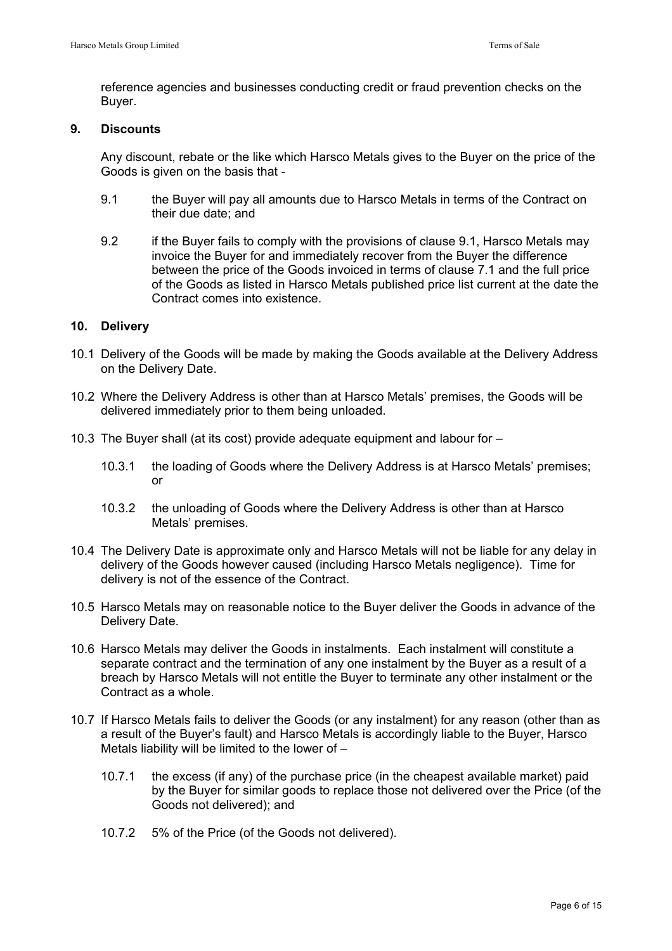reference agencies and businesses conducting credit or fraud prevention checks on the Buyer.

# **9. Discounts**

 Any discount, rebate or the like which Harsco Metals gives to the Buyer on the price of the Goods is given on the basis that -

- 9.1 the Buyer will pay all amounts due to Harsco Metals in terms of the Contract on their due date; and
- 9.2 if the Buyer fails to comply with the provisions of clause 9.1, Harsco Metals may invoice the Buyer for and immediately recover from the Buyer the difference between the price of the Goods invoiced in terms of clause 7.1 and the full price of the Goods as listed in Harsco Metals published price list current at the date the Contract comes into existence.

# **10. Delivery**

- 10.1 Delivery of the Goods will be made by making the Goods available at the Delivery Address on the Delivery Date.
- 10.2 Where the Delivery Address is other than at Harsco Metals' premises, the Goods will be delivered immediately prior to them being unloaded.
- 10.3 The Buyer shall (at its cost) provide adequate equipment and labour for
	- 10.3.1 the loading of Goods where the Delivery Address is at Harsco Metals' premises; or
	- 10.3.2 the unloading of Goods where the Delivery Address is other than at Harsco Metals' premises.
- 10.4 The Delivery Date is approximate only and Harsco Metals will not be liable for any delay in delivery of the Goods however caused (including Harsco Metals negligence). Time for delivery is not of the essence of the Contract.
- 10.5 Harsco Metals may on reasonable notice to the Buyer deliver the Goods in advance of the Delivery Date.
- 10.6 Harsco Metals may deliver the Goods in instalments. Each instalment will constitute a separate contract and the termination of any one instalment by the Buyer as a result of a breach by Harsco Metals will not entitle the Buyer to terminate any other instalment or the Contract as a whole.
- 10.7 If Harsco Metals fails to deliver the Goods (or any instalment) for any reason (other than as a result of the Buyer's fault) and Harsco Metals is accordingly liable to the Buyer, Harsco Metals liability will be limited to the lower of  $-$ 
	- 10.7.1 the excess (if any) of the purchase price (in the cheapest available market) paid by the Buyer for similar goods to replace those not delivered over the Price (of the Goods not delivered); and
	- 10.7.2 5% of the Price (of the Goods not delivered).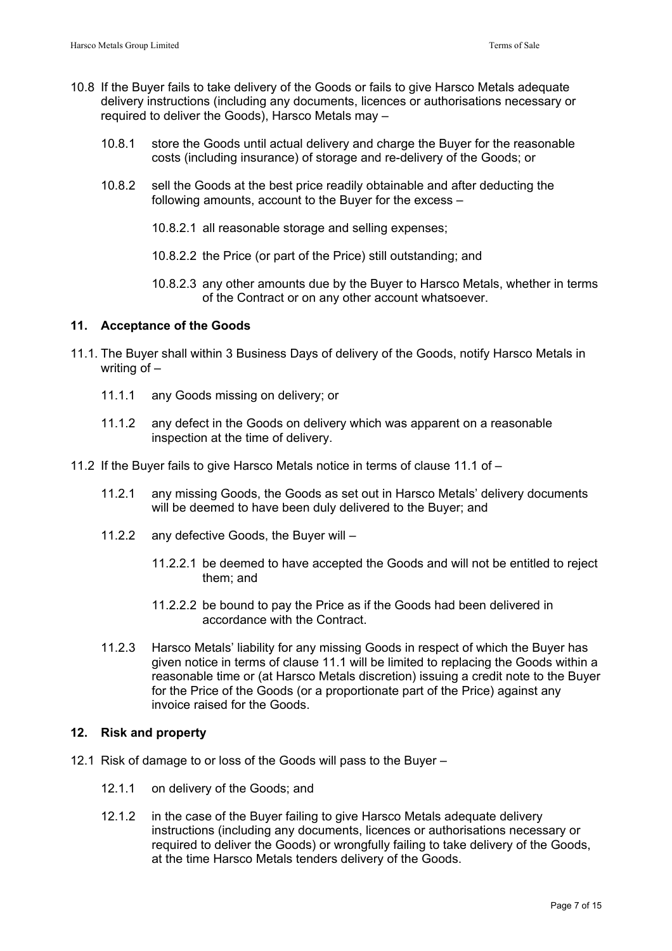- 10.8 If the Buyer fails to take delivery of the Goods or fails to give Harsco Metals adequate delivery instructions (including any documents, licences or authorisations necessary or required to deliver the Goods), Harsco Metals may –
	- 10.8.1 store the Goods until actual delivery and charge the Buyer for the reasonable costs (including insurance) of storage and re-delivery of the Goods; or
	- 10.8.2 sell the Goods at the best price readily obtainable and after deducting the following amounts, account to the Buyer for the excess –
		- 10.8.2.1 all reasonable storage and selling expenses;
		- 10.8.2.2 the Price (or part of the Price) still outstanding; and
		- 10.8.2.3 any other amounts due by the Buyer to Harsco Metals, whether in terms of the Contract or on any other account whatsoever.

## **11. Acceptance of the Goods**

- 11.1. The Buyer shall within 3 Business Days of delivery of the Goods, notify Harsco Metals in writing of –
	- 11.1.1 any Goods missing on delivery; or
	- 11.1.2 any defect in the Goods on delivery which was apparent on a reasonable inspection at the time of delivery.
- 11.2 If the Buyer fails to give Harsco Metals notice in terms of clause 11.1 of
	- 11.2.1 any missing Goods, the Goods as set out in Harsco Metals' delivery documents will be deemed to have been duly delivered to the Buyer; and
	- 11.2.2 any defective Goods, the Buyer will
		- 11.2.2.1 be deemed to have accepted the Goods and will not be entitled to reject them; and
		- 11.2.2.2 be bound to pay the Price as if the Goods had been delivered in accordance with the Contract.
	- 11.2.3 Harsco Metals' liability for any missing Goods in respect of which the Buyer has given notice in terms of clause 11.1 will be limited to replacing the Goods within a reasonable time or (at Harsco Metals discretion) issuing a credit note to the Buyer for the Price of the Goods (or a proportionate part of the Price) against any invoice raised for the Goods.

## **12. Risk and property**

- 12.1 Risk of damage to or loss of the Goods will pass to the Buyer
	- 12.1.1 on delivery of the Goods; and
	- 12.1.2 in the case of the Buyer failing to give Harsco Metals adequate delivery instructions (including any documents, licences or authorisations necessary or required to deliver the Goods) or wrongfully failing to take delivery of the Goods, at the time Harsco Metals tenders delivery of the Goods.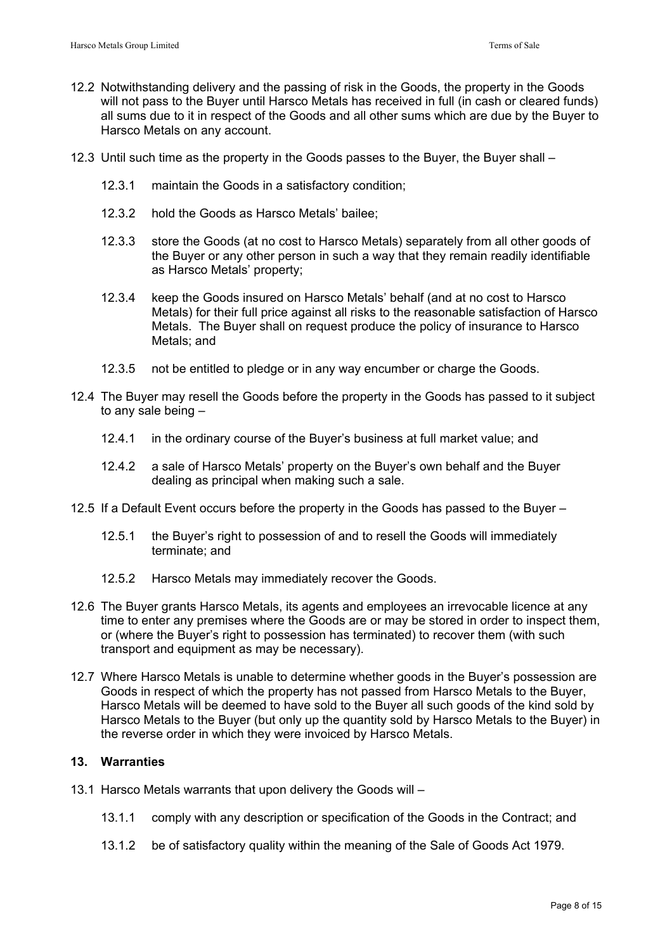- 12.2 Notwithstanding delivery and the passing of risk in the Goods, the property in the Goods will not pass to the Buyer until Harsco Metals has received in full (in cash or cleared funds) all sums due to it in respect of the Goods and all other sums which are due by the Buyer to Harsco Metals on any account.
- 12.3 Until such time as the property in the Goods passes to the Buyer, the Buyer shall
	- 12.3.1 maintain the Goods in a satisfactory condition;
	- 12.3.2 hold the Goods as Harsco Metals' bailee;
	- 12.3.3 store the Goods (at no cost to Harsco Metals) separately from all other goods of the Buyer or any other person in such a way that they remain readily identifiable as Harsco Metals' property;
	- 12.3.4 keep the Goods insured on Harsco Metals' behalf (and at no cost to Harsco Metals) for their full price against all risks to the reasonable satisfaction of Harsco Metals. The Buyer shall on request produce the policy of insurance to Harsco Metals; and
	- 12.3.5 not be entitled to pledge or in any way encumber or charge the Goods.
- 12.4 The Buyer may resell the Goods before the property in the Goods has passed to it subject to any sale being –
	- 12.4.1 in the ordinary course of the Buyer's business at full market value; and
	- 12.4.2 a sale of Harsco Metals' property on the Buyer's own behalf and the Buyer dealing as principal when making such a sale.
- 12.5 If a Default Event occurs before the property in the Goods has passed to the Buyer
	- 12.5.1 the Buyer's right to possession of and to resell the Goods will immediately terminate; and
	- 12.5.2 Harsco Metals may immediately recover the Goods.
- 12.6 The Buyer grants Harsco Metals, its agents and employees an irrevocable licence at any time to enter any premises where the Goods are or may be stored in order to inspect them, or (where the Buyer's right to possession has terminated) to recover them (with such transport and equipment as may be necessary).
- 12.7 Where Harsco Metals is unable to determine whether goods in the Buyer's possession are Goods in respect of which the property has not passed from Harsco Metals to the Buyer, Harsco Metals will be deemed to have sold to the Buyer all such goods of the kind sold by Harsco Metals to the Buyer (but only up the quantity sold by Harsco Metals to the Buyer) in the reverse order in which they were invoiced by Harsco Metals.

# **13. Warranties**

- 13.1 Harsco Metals warrants that upon delivery the Goods will
	- 13.1.1 comply with any description or specification of the Goods in the Contract; and
	- 13.1.2 be of satisfactory quality within the meaning of the Sale of Goods Act 1979.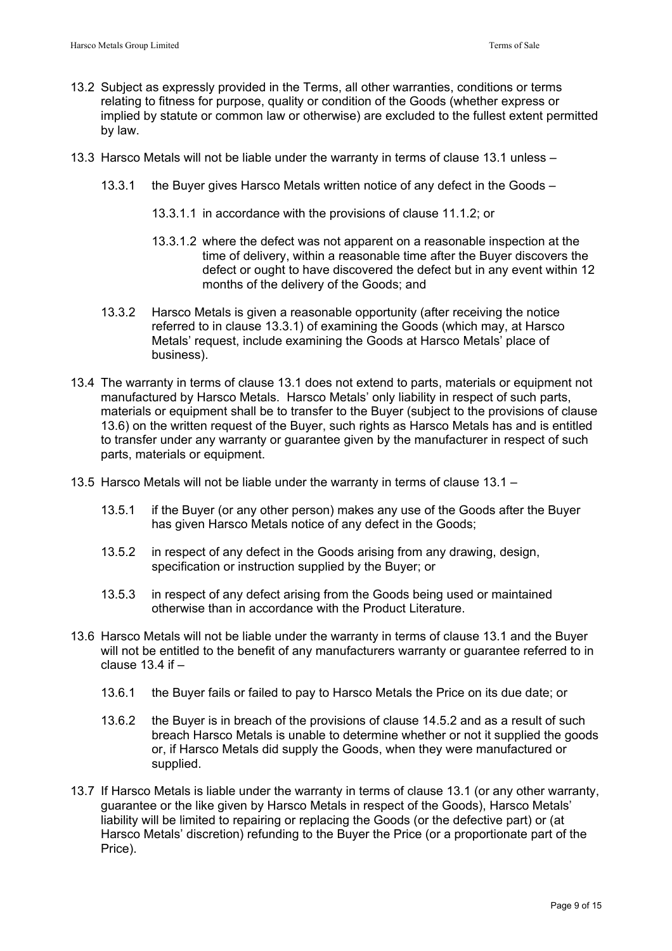- 13.2 Subject as expressly provided in the Terms, all other warranties, conditions or terms relating to fitness for purpose, quality or condition of the Goods (whether express or implied by statute or common law or otherwise) are excluded to the fullest extent permitted by law.
- 13.3 Harsco Metals will not be liable under the warranty in terms of clause 13.1 unless
	- 13.3.1 the Buyer gives Harsco Metals written notice of any defect in the Goods
		- 13.3.1.1 in accordance with the provisions of clause 11.1.2; or
		- 13.3.1.2 where the defect was not apparent on a reasonable inspection at the time of delivery, within a reasonable time after the Buyer discovers the defect or ought to have discovered the defect but in any event within 12 months of the delivery of the Goods; and
	- 13.3.2 Harsco Metals is given a reasonable opportunity (after receiving the notice referred to in clause 13.3.1) of examining the Goods (which may, at Harsco Metals' request, include examining the Goods at Harsco Metals' place of business).
- 13.4 The warranty in terms of clause 13.1 does not extend to parts, materials or equipment not manufactured by Harsco Metals. Harsco Metals' only liability in respect of such parts, materials or equipment shall be to transfer to the Buyer (subject to the provisions of clause 13.6) on the written request of the Buyer, such rights as Harsco Metals has and is entitled to transfer under any warranty or guarantee given by the manufacturer in respect of such parts, materials or equipment.
- 13.5 Harsco Metals will not be liable under the warranty in terms of clause 13.1
	- 13.5.1 if the Buyer (or any other person) makes any use of the Goods after the Buyer has given Harsco Metals notice of any defect in the Goods;
	- 13.5.2 in respect of any defect in the Goods arising from any drawing, design, specification or instruction supplied by the Buyer; or
	- 13.5.3 in respect of any defect arising from the Goods being used or maintained otherwise than in accordance with the Product Literature.
- 13.6 Harsco Metals will not be liable under the warranty in terms of clause 13.1 and the Buyer will not be entitled to the benefit of any manufacturers warranty or guarantee referred to in clause  $13.4$  if  $-$ 
	- 13.6.1 the Buyer fails or failed to pay to Harsco Metals the Price on its due date; or
	- 13.6.2 the Buyer is in breach of the provisions of clause 14.5.2 and as a result of such breach Harsco Metals is unable to determine whether or not it supplied the goods or, if Harsco Metals did supply the Goods, when they were manufactured or supplied.
- 13.7 If Harsco Metals is liable under the warranty in terms of clause 13.1 (or any other warranty, guarantee or the like given by Harsco Metals in respect of the Goods), Harsco Metals' liability will be limited to repairing or replacing the Goods (or the defective part) or (at Harsco Metals' discretion) refunding to the Buyer the Price (or a proportionate part of the Price).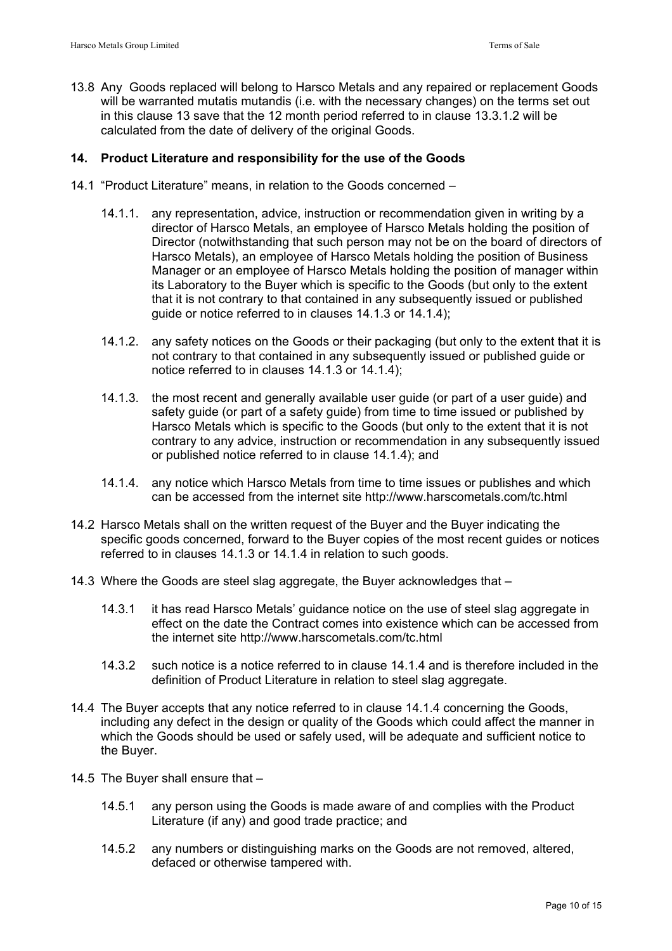13.8 Any Goods replaced will belong to Harsco Metals and any repaired or replacement Goods will be warranted mutatis mutandis (i.e. with the necessary changes) on the terms set out in this clause 13 save that the 12 month period referred to in clause 13.3.1.2 will be calculated from the date of delivery of the original Goods.

## **14. Product Literature and responsibility for the use of the Goods**

- 14.1 "Product Literature" means, in relation to the Goods concerned
	- 14.1.1. any representation, advice, instruction or recommendation given in writing by a director of Harsco Metals, an employee of Harsco Metals holding the position of Director (notwithstanding that such person may not be on the board of directors of Harsco Metals), an employee of Harsco Metals holding the position of Business Manager or an employee of Harsco Metals holding the position of manager within its Laboratory to the Buyer which is specific to the Goods (but only to the extent that it is not contrary to that contained in any subsequently issued or published guide or notice referred to in clauses 14.1.3 or 14.1.4);
	- 14.1.2. any safety notices on the Goods or their packaging (but only to the extent that it is not contrary to that contained in any subsequently issued or published guide or notice referred to in clauses 14.1.3 or 14.1.4);
	- 14.1.3. the most recent and generally available user guide (or part of a user guide) and safety guide (or part of a safety guide) from time to time issued or published by Harsco Metals which is specific to the Goods (but only to the extent that it is not contrary to any advice, instruction or recommendation in any subsequently issued or published notice referred to in clause 14.1.4); and
	- 14.1.4. any notice which Harsco Metals from time to time issues or publishes and which can be accessed from the internet site http://www.harscometals.com/tc.html
- 14.2 Harsco Metals shall on the written request of the Buyer and the Buyer indicating the specific goods concerned, forward to the Buyer copies of the most recent guides or notices referred to in clauses 14.1.3 or 14.1.4 in relation to such goods.
- 14.3 Where the Goods are steel slag aggregate, the Buyer acknowledges that
	- 14.3.1 it has read Harsco Metals' guidance notice on the use of steel slag aggregate in effect on the date the Contract comes into existence which can be accessed from the internet site http://www.harscometals.com/tc.html
	- 14.3.2 such notice is a notice referred to in clause 14.1.4 and is therefore included in the definition of Product Literature in relation to steel slag aggregate.
- 14.4 The Buyer accepts that any notice referred to in clause 14.1.4 concerning the Goods, including any defect in the design or quality of the Goods which could affect the manner in which the Goods should be used or safely used, will be adequate and sufficient notice to the Buyer.
- 14.5 The Buyer shall ensure that
	- 14.5.1 any person using the Goods is made aware of and complies with the Product Literature (if any) and good trade practice; and
	- 14.5.2 any numbers or distinguishing marks on the Goods are not removed, altered, defaced or otherwise tampered with.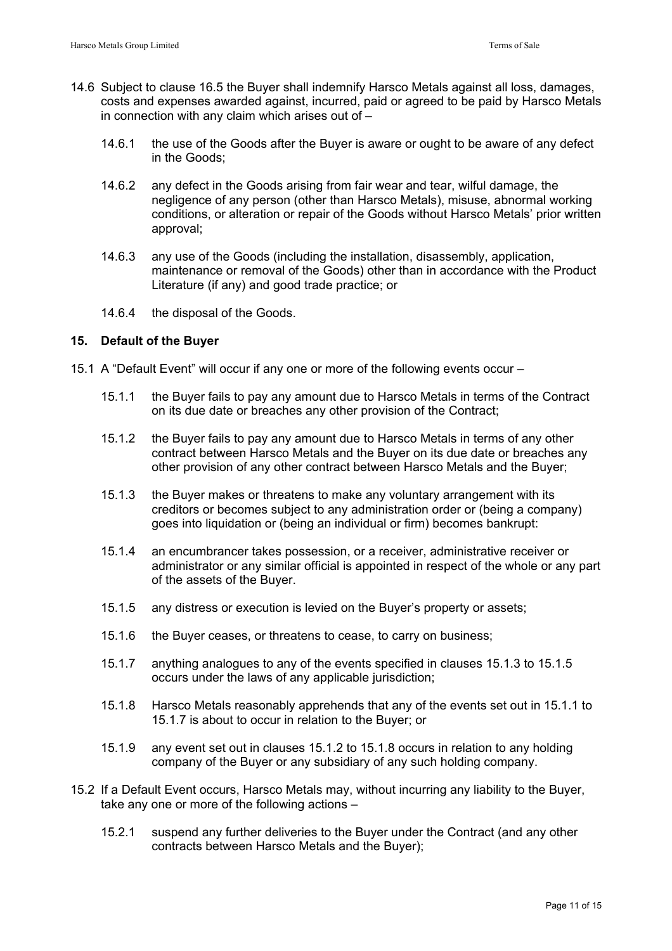- 14.6 Subject to clause 16.5 the Buyer shall indemnify Harsco Metals against all loss, damages, costs and expenses awarded against, incurred, paid or agreed to be paid by Harsco Metals in connection with any claim which arises out of –
	- 14.6.1 the use of the Goods after the Buyer is aware or ought to be aware of any defect in the Goods;
	- 14.6.2 any defect in the Goods arising from fair wear and tear, wilful damage, the negligence of any person (other than Harsco Metals), misuse, abnormal working conditions, or alteration or repair of the Goods without Harsco Metals' prior written approval;
	- 14.6.3 any use of the Goods (including the installation, disassembly, application, maintenance or removal of the Goods) other than in accordance with the Product Literature (if any) and good trade practice; or
	- 14.6.4 the disposal of the Goods.

# **15. Default of the Buyer**

- 15.1 A "Default Event" will occur if any one or more of the following events occur
	- 15.1.1 the Buyer fails to pay any amount due to Harsco Metals in terms of the Contract on its due date or breaches any other provision of the Contract;
	- 15.1.2 the Buyer fails to pay any amount due to Harsco Metals in terms of any other contract between Harsco Metals and the Buyer on its due date or breaches any other provision of any other contract between Harsco Metals and the Buyer;
	- 15.1.3 the Buyer makes or threatens to make any voluntary arrangement with its creditors or becomes subject to any administration order or (being a company) goes into liquidation or (being an individual or firm) becomes bankrupt:
	- 15.1.4 an encumbrancer takes possession, or a receiver, administrative receiver or administrator or any similar official is appointed in respect of the whole or any part of the assets of the Buyer.
	- 15.1.5 any distress or execution is levied on the Buyer's property or assets;
	- 15.1.6 the Buyer ceases, or threatens to cease, to carry on business;
	- 15.1.7 anything analogues to any of the events specified in clauses 15.1.3 to 15.1.5 occurs under the laws of any applicable jurisdiction;
	- 15.1.8 Harsco Metals reasonably apprehends that any of the events set out in 15.1.1 to 15.1.7 is about to occur in relation to the Buyer; or
	- 15.1.9 any event set out in clauses 15.1.2 to 15.1.8 occurs in relation to any holding company of the Buyer or any subsidiary of any such holding company.
- 15.2 If a Default Event occurs, Harsco Metals may, without incurring any liability to the Buyer, take any one or more of the following actions –
	- 15.2.1 suspend any further deliveries to the Buyer under the Contract (and any other contracts between Harsco Metals and the Buyer);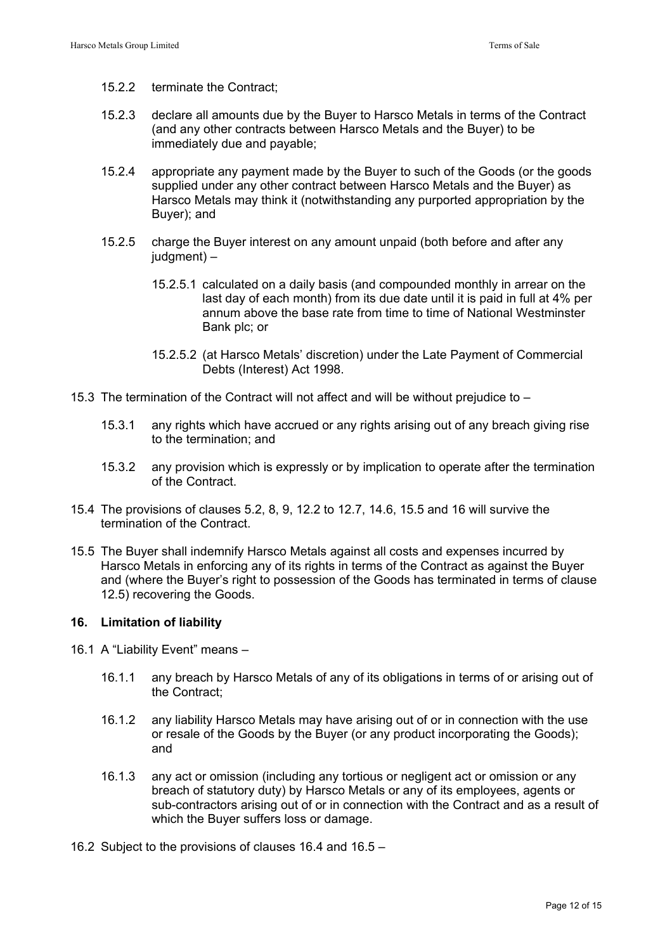- 15.2.2 terminate the Contract;
- 15.2.3 declare all amounts due by the Buyer to Harsco Metals in terms of the Contract (and any other contracts between Harsco Metals and the Buyer) to be immediately due and payable;
- 15.2.4 appropriate any payment made by the Buyer to such of the Goods (or the goods supplied under any other contract between Harsco Metals and the Buyer) as Harsco Metals may think it (notwithstanding any purported appropriation by the Buyer); and
- 15.2.5 charge the Buyer interest on any amount unpaid (both before and after any judgment) –
	- 15.2.5.1 calculated on a daily basis (and compounded monthly in arrear on the last day of each month) from its due date until it is paid in full at 4% per annum above the base rate from time to time of National Westminster Bank plc; or
	- 15.2.5.2 (at Harsco Metals' discretion) under the Late Payment of Commercial Debts (Interest) Act 1998.
- 15.3 The termination of the Contract will not affect and will be without prejudice to
	- 15.3.1 any rights which have accrued or any rights arising out of any breach giving rise to the termination; and
	- 15.3.2 any provision which is expressly or by implication to operate after the termination of the Contract.
- 15.4 The provisions of clauses 5.2, 8, 9, 12.2 to 12.7, 14.6, 15.5 and 16 will survive the termination of the Contract.
- 15.5 The Buyer shall indemnify Harsco Metals against all costs and expenses incurred by Harsco Metals in enforcing any of its rights in terms of the Contract as against the Buyer and (where the Buyer's right to possession of the Goods has terminated in terms of clause 12.5) recovering the Goods.

## **16. Limitation of liability**

- 16.1 A "Liability Event" means
	- 16.1.1 any breach by Harsco Metals of any of its obligations in terms of or arising out of the Contract;
	- 16.1.2 any liability Harsco Metals may have arising out of or in connection with the use or resale of the Goods by the Buyer (or any product incorporating the Goods); and
	- 16.1.3 any act or omission (including any tortious or negligent act or omission or any breach of statutory duty) by Harsco Metals or any of its employees, agents or sub-contractors arising out of or in connection with the Contract and as a result of which the Buyer suffers loss or damage.
- 16.2 Subject to the provisions of clauses 16.4 and 16.5 –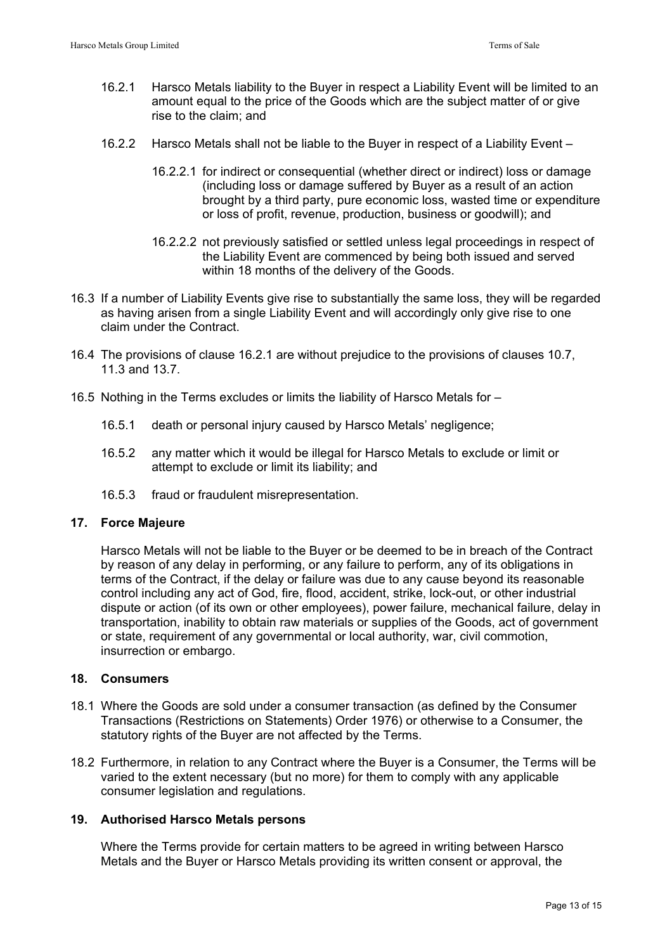- 16.2.1 Harsco Metals liability to the Buyer in respect a Liability Event will be limited to an amount equal to the price of the Goods which are the subject matter of or give rise to the claim; and
- 16.2.2 Harsco Metals shall not be liable to the Buyer in respect of a Liability Event
	- 16.2.2.1 for indirect or consequential (whether direct or indirect) loss or damage (including loss or damage suffered by Buyer as a result of an action brought by a third party, pure economic loss, wasted time or expenditure or loss of profit, revenue, production, business or goodwill); and
	- 16.2.2.2 not previously satisfied or settled unless legal proceedings in respect of the Liability Event are commenced by being both issued and served within 18 months of the delivery of the Goods.
- 16.3 If a number of Liability Events give rise to substantially the same loss, they will be regarded as having arisen from a single Liability Event and will accordingly only give rise to one claim under the Contract.
- 16.4 The provisions of clause 16.2.1 are without prejudice to the provisions of clauses 10.7, 11.3 and 13.7.
- 16.5 Nothing in the Terms excludes or limits the liability of Harsco Metals for
	- 16.5.1 death or personal injury caused by Harsco Metals' negligence;
	- 16.5.2 any matter which it would be illegal for Harsco Metals to exclude or limit or attempt to exclude or limit its liability; and
	- 16.5.3 fraud or fraudulent misrepresentation.

## **17. Force Majeure**

Harsco Metals will not be liable to the Buyer or be deemed to be in breach of the Contract by reason of any delay in performing, or any failure to perform, any of its obligations in terms of the Contract, if the delay or failure was due to any cause beyond its reasonable control including any act of God, fire, flood, accident, strike, lock-out, or other industrial dispute or action (of its own or other employees), power failure, mechanical failure, delay in transportation, inability to obtain raw materials or supplies of the Goods, act of government or state, requirement of any governmental or local authority, war, civil commotion, insurrection or embargo.

# **18. Consumers**

- 18.1 Where the Goods are sold under a consumer transaction (as defined by the Consumer Transactions (Restrictions on Statements) Order 1976) or otherwise to a Consumer, the statutory rights of the Buyer are not affected by the Terms.
- 18.2 Furthermore, in relation to any Contract where the Buyer is a Consumer, the Terms will be varied to the extent necessary (but no more) for them to comply with any applicable consumer legislation and regulations.

# **19. Authorised Harsco Metals persons**

 Where the Terms provide for certain matters to be agreed in writing between Harsco Metals and the Buyer or Harsco Metals providing its written consent or approval, the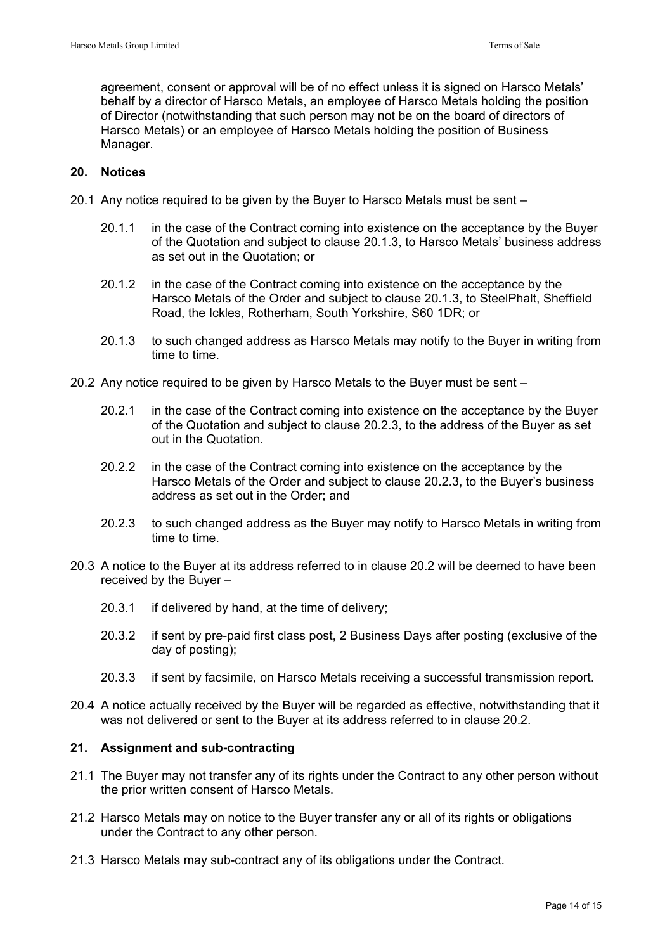agreement, consent or approval will be of no effect unless it is signed on Harsco Metals' behalf by a director of Harsco Metals, an employee of Harsco Metals holding the position of Director (notwithstanding that such person may not be on the board of directors of Harsco Metals) or an employee of Harsco Metals holding the position of Business Manager.

## **20. Notices**

- 20.1 Any notice required to be given by the Buyer to Harsco Metals must be sent
	- 20.1.1 in the case of the Contract coming into existence on the acceptance by the Buyer of the Quotation and subject to clause 20.1.3, to Harsco Metals' business address as set out in the Quotation; or
	- 20.1.2 in the case of the Contract coming into existence on the acceptance by the Harsco Metals of the Order and subject to clause 20.1.3, to SteelPhalt, Sheffield Road, the Ickles, Rotherham, South Yorkshire, S60 1DR; or
	- 20.1.3 to such changed address as Harsco Metals may notify to the Buyer in writing from time to time.
- 20.2 Any notice required to be given by Harsco Metals to the Buyer must be sent
	- 20.2.1 in the case of the Contract coming into existence on the acceptance by the Buyer of the Quotation and subject to clause 20.2.3, to the address of the Buyer as set out in the Quotation.
	- 20.2.2 in the case of the Contract coming into existence on the acceptance by the Harsco Metals of the Order and subject to clause 20.2.3, to the Buyer's business address as set out in the Order; and
	- 20.2.3 to such changed address as the Buyer may notify to Harsco Metals in writing from time to time.
- 20.3 A notice to the Buyer at its address referred to in clause 20.2 will be deemed to have been received by the Buyer –
	- 20.3.1 if delivered by hand, at the time of delivery;
	- 20.3.2 if sent by pre-paid first class post, 2 Business Days after posting (exclusive of the day of posting);
	- 20.3.3 if sent by facsimile, on Harsco Metals receiving a successful transmission report.
- 20.4 A notice actually received by the Buyer will be regarded as effective, notwithstanding that it was not delivered or sent to the Buyer at its address referred to in clause 20.2.

## **21. Assignment and sub-contracting**

- 21.1 The Buyer may not transfer any of its rights under the Contract to any other person without the prior written consent of Harsco Metals.
- 21.2 Harsco Metals may on notice to the Buyer transfer any or all of its rights or obligations under the Contract to any other person.
- 21.3 Harsco Metals may sub-contract any of its obligations under the Contract.